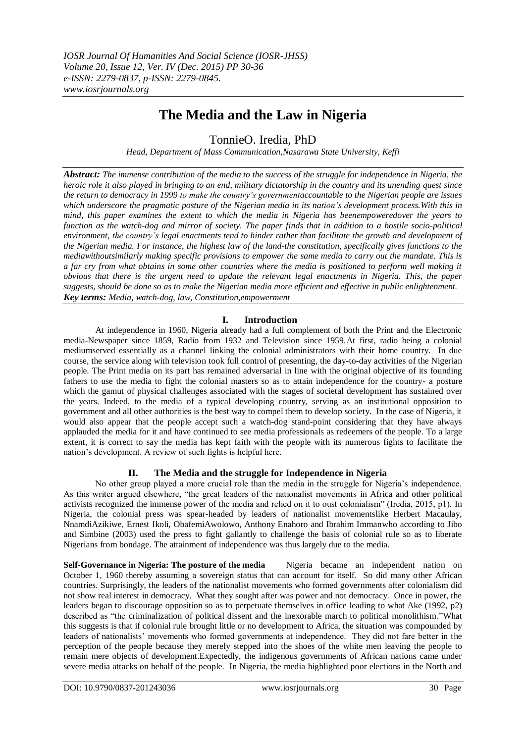# **The Media and the Law in Nigeria**

TonnieO. Iredia, PhD

*Head, Department of Mass Communication,Nasarawa State University, Keffi*

*Abstract: The immense contribution of the media to the success of the struggle for independence in Nigeria, the heroic role it also played in bringing to an end, military dictatorship in the country and its unending quest since the return to democracy in 1999 to make the country's governmentaccountable to the Nigerian people are issues which underscore the pragmatic posture of the Nigerian media in its nation's development process. With this in mind, this paper examines the extent to which the media in Nigeria has beenempoweredover the years to function as the watch-dog and mirror of society. The paper finds that in addition to a hostile socio-political environment, the country's legal enactments tend to hinder rather than facilitate the growth and development of the Nigerian media. For instance, the highest law of the land-the constitution, specifically gives functions to the mediawithoutsimilarly making specific provisions to empower the same media to carry out the mandate. This is a far cry from what obtains in some other countries where the media is positioned to perform well making it obvious that there is the urgent need to update the relevant legal enactments in Nigeria. This, the paper suggests, should be done so as to make the Nigerian media more efficient and effective in public enlightenment. Key terms: Media, watch-dog, law, Constitution,empowerment*

# **I. Introduction**

At independence in 1960, Nigeria already had a full complement of both the Print and the Electronic media-Newspaper since 1859, Radio from 1932 and Television since 1959.At first, radio being a colonial mediumserved essentially as a channel linking the colonial administrators with their home country. In due course, the service along with television took full control of presenting, the day-to-day activities of the Nigerian people. The Print media on its part has remained adversarial in line with the original objective of its founding fathers to use the media to fight the colonial masters so as to attain independence for the country- a posture which the gamut of physical challenges associated with the stages of societal development has sustained over the years. Indeed, to the media of a typical developing country, serving as an institutional opposition to government and all other authorities is the best way to compel them to develop society. In the case of Nigeria, it would also appear that the people accept such a watch-dog stand-point considering that they have always applauded the media for it and have continued to see media professionals as redeemers of the people. To a large extent, it is correct to say the media has kept faith with the people with its numerous fights to facilitate the nation's development. A review of such fights is helpful here.

# **II. The Media and the struggle for Independence in Nigeria**

No other group played a more crucial role than the media in the struggle for Nigeria's independence. As this writer argued elsewhere, "the great leaders of the nationalist movements in Africa and other political activists recognized the immense power of the media and relied on it to oust colonialism" (Iredia, 2015, p1). In Nigeria, the colonial press was spear-headed by leaders of nationalist movementslike Herbert Macaulay, NnamdiAzikiwe, Ernest Ikoli, ObafemiAwolowo, Anthony Enahoro and Ibrahim Immanwho according to Jibo and Simbine (2003) used the press to fight gallantly to challenge the basis of colonial rule so as to liberate Nigerians from bondage. The attainment of independence was thus largely due to the media.

**Self-Governance in Nigeria: The posture of the media** Nigeria became an independent nation on October 1, 1960 thereby assuming a sovereign status that can account for itself. So did many other African countries. Surprisingly, the leaders of the nationalist movements who formed governments after colonialism did not show real interest in democracy. What they sought after was power and not democracy. Once in power, the leaders began to discourage opposition so as to perpetuate themselves in office leading to what Ake (1992, p2) described as "the criminalization of political dissent and the inexorable march to political monolithism."What this suggests is that if colonial rule brought little or no development to Africa, the situation was compounded by leaders of nationalists' movements who formed governments at independence. They did not fare better in the perception of the people because they merely stepped into the shoes of the white men leaving the people to remain mere objects of development.Expectedly, the indigenous governments of African nations came under severe media attacks on behalf of the people. In Nigeria, the media highlighted poor elections in the North and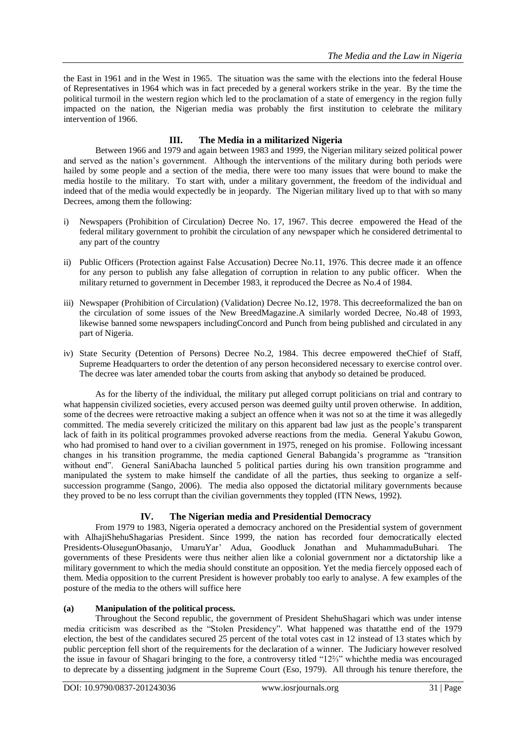the East in 1961 and in the West in 1965. The situation was the same with the elections into the federal House of Representatives in 1964 which was in fact preceded by a general workers strike in the year. By the time the political turmoil in the western region which led to the proclamation of a state of emergency in the region fully impacted on the nation, the Nigerian media was probably the first institution to celebrate the military intervention of 1966.

# **III. The Media in a militarized Nigeria**

Between 1966 and 1979 and again between 1983 and 1999, the Nigerian military seized political power and served as the nation's government. Although the interventions of the military during both periods were hailed by some people and a section of the media, there were too many issues that were bound to make the media hostile to the military. To start with, under a military government, the freedom of the individual and indeed that of the media would expectedly be in jeopardy. The Nigerian military lived up to that with so many Decrees, among them the following:

- i) Newspapers (Prohibition of Circulation) Decree No. 17, 1967. This decree empowered the Head of the federal military government to prohibit the circulation of any newspaper which he considered detrimental to any part of the country
- ii) Public Officers (Protection against False Accusation) Decree No.11, 1976. This decree made it an offence for any person to publish any false allegation of corruption in relation to any public officer. When the military returned to government in December 1983, it reproduced the Decree as No.4 of 1984.
- iii) Newspaper (Prohibition of Circulation) (Validation) Decree No.12, 1978. This decreeformalized the ban on the circulation of some issues of the New BreedMagazine.A similarly worded Decree, No.48 of 1993, likewise banned some newspapers includingConcord and Punch from being published and circulated in any part of Nigeria.
- iv) State Security (Detention of Persons) Decree No.2, 1984. This decree empowered theChief of Staff, Supreme Headquarters to order the detention of any person heconsidered necessary to exercise control over. The decree was later amended tobar the courts from asking that anybody so detained be produced.

As for the liberty of the individual, the military put alleged corrupt politicians on trial and contrary to what happensin civilized societies, every accused person was deemed guilty until proven otherwise. In addition, some of the decrees were retroactive making a subject an offence when it was not so at the time it was allegedly committed. The media severely criticized the military on this apparent bad law just as the people's transparent lack of faith in its political programmes provoked adverse reactions from the media. General Yakubu Gowon, who had promised to hand over to a civilian government in 1975, reneged on his promise. Following incessant changes in his transition programme, the media captioned General Babangida's programme as "transition" without end". General SaniAbacha launched 5 political parties during his own transition programme and manipulated the system to make himself the candidate of all the parties, thus seeking to organize a selfsuccession programme (Sango, 2006). The media also opposed the dictatorial military governments because they proved to be no less corrupt than the civilian governments they toppled (ITN News, 1992).

# **IV. The Nigerian media and Presidential Democracy**

From 1979 to 1983, Nigeria operated a democracy anchored on the Presidential system of government with AlhajiShehuShagarias President. Since 1999, the nation has recorded four democratically elected Presidents-OlusegunObasanjo, UmaruYar' Adua, Goodluck Jonathan and MuhammaduBuhari. The governments of these Presidents were thus neither alien like a colonial government nor a dictatorship like a military government to which the media should constitute an opposition. Yet the media fiercely opposed each of them. Media opposition to the current President is however probably too early to analyse. A few examples of the posture of the media to the others will suffice here

#### **(a) Manipulation of the political process.**

Throughout the Second republic, the government of President ShehuShagari which was under intense media criticism was described as the "Stolen Presidency". What happened was thatatthe end of the 1979 election, the best of the candidates secured 25 percent of the total votes cast in 12 instead of 13 states which by public perception fell short of the requirements for the declaration of a winner. The Judiciary however resolved the issue in favour of Shagari bringing to the fore, a controversy titled "12%" whichthe media was encouraged to deprecate by a dissenting judgment in the Supreme Court (Eso, 1979). All through his tenure therefore, the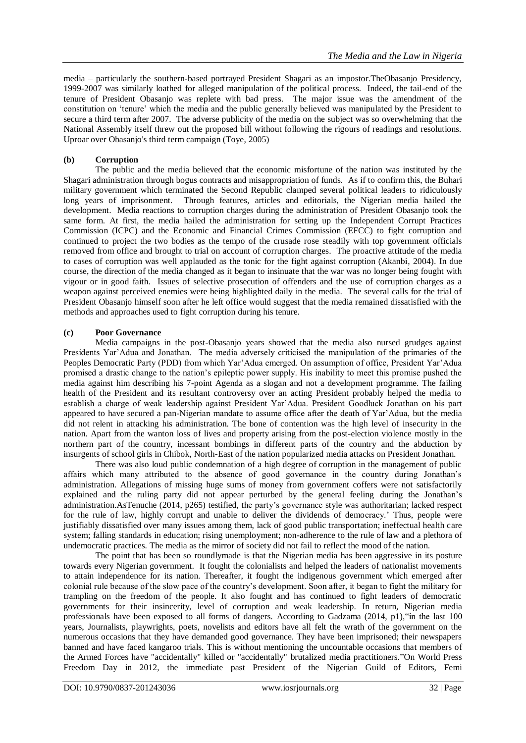media – particularly the southern-based portrayed President Shagari as an impostor.TheObasanjo Presidency, 1999-2007 was similarly loathed for alleged manipulation of the political process. Indeed, the tail-end of the tenure of President Obasanjo was replete with bad press. The major issue was the amendment of the constitution on ‗tenure' which the media and the public generally believed was manipulated by the President to secure a third term after 2007. The adverse publicity of the media on the subject was so overwhelming that the National Assembly itself threw out the proposed bill without following the rigours of readings and resolutions. Uproar over Obasanjo's third term campaign (Toye, 2005)

#### **(b) Corruption**

The public and the media believed that the economic misfortune of the nation was instituted by the Shagari administration through bogus contracts and misappropriation of funds. As if to confirm this, the Buhari military government which terminated the Second Republic clamped several political leaders to ridiculously long years of imprisonment. Through features, articles and editorials, the Nigerian media hailed the development. Media reactions to corruption charges during the administration of President Obasanjo took the same form. At first, the media hailed the administration for setting up the Independent Corrupt Practices Commission (ICPC) and the Economic and Financial Crimes Commission (EFCC) to fight corruption and continued to project the two bodies as the tempo of the crusade rose steadily with top government officials removed from office and brought to trial on account of corruption charges. The proactive attitude of the media to cases of corruption was well applauded as the tonic for the fight against corruption (Akanbi, 2004). In due course, the direction of the media changed as it began to insinuate that the war was no longer being fought with vigour or in good faith. Issues of selective prosecution of offenders and the use of corruption charges as a weapon against perceived enemies were being highlighted daily in the media. The several calls for the trial of President Obasanjo himself soon after he left office would suggest that the media remained dissatisfied with the methods and approaches used to fight corruption during his tenure.

#### **(c) Poor Governance**

Media campaigns in the post-Obasanjo years showed that the media also nursed grudges against Presidents Yar'Adua and Jonathan. The media adversely criticised the manipulation of the primaries of the Peoples Democratic Party (PDD) from which Yar'Adua emerged. On assumption of office, President Yar'Adua promised a drastic change to the nation's epileptic power supply. His inability to meet this promise pushed the media against him describing his 7-point Agenda as a slogan and not a development programme. The failing health of the President and its resultant controversy over an acting President probably helped the media to establish a charge of weak leadership against President Yar'Adua. President Goodluck Jonathan on his part appeared to have secured a pan-Nigerian mandate to assume office after the death of Yar'Adua, but the media did not relent in attacking his administration. The bone of contention was the high level of insecurity in the nation. Apart from the wanton loss of lives and property arising from the post-election violence mostly in the northern part of the country, incessant bombings in different parts of the country and the abduction by insurgents of school girls in Chibok, North-East of the nation popularized media attacks on President Jonathan.

There was also loud public condemnation of a high degree of corruption in the management of public affairs which many attributed to the absence of good governance in the country during Jonathan's administration. Allegations of missing huge sums of money from government coffers were not satisfactorily explained and the ruling party did not appear perturbed by the general feeling during the Jonathan's administration.AsTenuche (2014, p265) testified, the party's governance style was authoritarian; lacked respect for the rule of law, highly corrupt and unable to deliver the dividends of democracy.' Thus, people were justifiably dissatisfied over many issues among them, lack of good public transportation; ineffectual health care system; falling standards in education; rising unemployment; non-adherence to the rule of law and a plethora of undemocratic practices. The media as the mirror of society did not fail to reflect the mood of the nation.

The point that has been so roundlymade is that the Nigerian media has been aggressive in its posture towards every Nigerian government. It fought the colonialists and helped the leaders of nationalist movements to attain independence for its nation. Thereafter, it fought the indigenous government which emerged after colonial rule because of the slow pace of the country's development. Soon after, it began to fight the military for trampling on the freedom of the people. It also fought and has continued to fight leaders of democratic governments for their insincerity, level of corruption and weak leadership. In return, Nigerian media professionals have been exposed to all forms of dangers. According to Gadzama  $(2014, p1)$ , "in the last 100 years, Journalists, playwrights, poets, novelists and editors have all felt the wrath of the government on the numerous occasions that they have demanded good governance. They have been imprisoned; their newspapers banned and have faced kangaroo trials. This is without mentioning the uncountable occasions that members of the Armed Forces have "accidentally" killed or "accidentally" brutalized media practitioners."On World Press Freedom Day in 2012, the immediate past President of the Nigerian Guild of Editors, Femi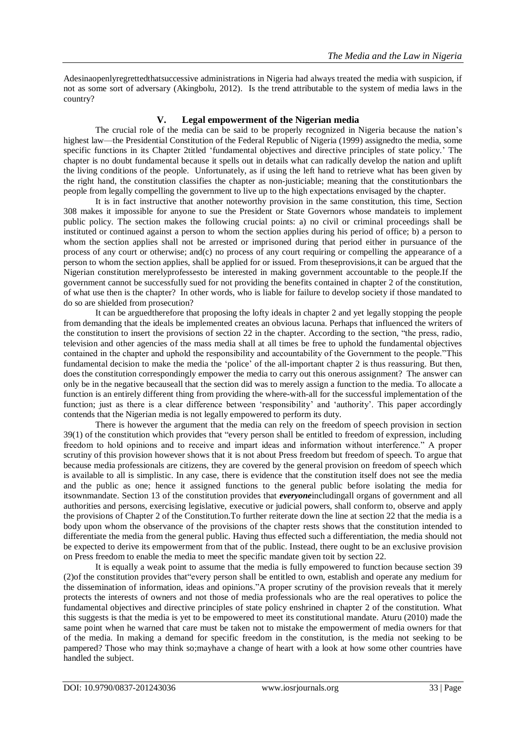Adesinaopenlyregrettedthatsuccessive administrations in Nigeria had always treated the media with suspicion, if not as some sort of adversary (Akingbolu, 2012). Is the trend attributable to the system of media laws in the country?

### **V. Legal empowerment of the Nigerian media**

The crucial role of the media can be said to be properly recognized in Nigeria because the nation's highest law—the Presidential Constitution of the Federal Republic of Nigeria (1999) assignedto the media, some specific functions in its Chapter 2titled 'fundamental objectives and directive principles of state policy.' The chapter is no doubt fundamental because it spells out in details what can radically develop the nation and uplift the living conditions of the people. Unfortunately, as if using the left hand to retrieve what has been given by the right hand, the constitution classifies the chapter as non-justiciable; meaning that the constitutionbars the people from legally compelling the government to live up to the high expectations envisaged by the chapter.

It is in fact instructive that another noteworthy provision in the same constitution, this time, Section 308 makes it impossible for anyone to sue the President or State Governors whose mandateis to implement public policy. The section makes the following crucial points: a) no civil or criminal proceedings shall be instituted or continued against a person to whom the section applies during his period of office; b) a person to whom the section applies shall not be arrested or imprisoned during that period either in pursuance of the process of any court or otherwise; and(c) no process of any court requiring or compelling the appearance of a person to whom the section applies, shall be applied for or issued. From theseprovisions,it can be argued that the Nigerian constitution merelyprofessesto be interested in making government accountable to the people.If the government cannot be successfully sued for not providing the benefits contained in chapter 2 of the constitution, of what use then is the chapter? In other words, who is liable for failure to develop society if those mandated to do so are shielded from prosecution?

It can be arguedtherefore that proposing the lofty ideals in chapter 2 and yet legally stopping the people from demanding that the ideals be implemented creates an obvious lacuna. Perhaps that influenced the writers of the constitution to insert the provisions of section 22 in the chapter. According to the section, "the press, radio, television and other agencies of the mass media shall at all times be free to uphold the fundamental objectives contained in the chapter and uphold the responsibility and accountability of the Government to the people."This fundamental decision to make the media the 'police' of the all-important chapter 2 is thus reassuring. But then, does the constitution correspondingly empower the media to carry out this onerous assignment? The answer can only be in the negative becauseall that the section did was to merely assign a function to the media. To allocate a function is an entirely different thing from providing the where-with-all for the successful implementation of the function; just as there is a clear difference between 'responsibility' and 'authority'. This paper accordingly contends that the Nigerian media is not legally empowered to perform its duty.

There is however the argument that the media can rely on the freedom of speech provision in section  $39(1)$  of the constitution which provides that "every person shall be entitled to freedom of expression, including freedom to hold opinions and to receive and impart ideas and information without interference." A proper scrutiny of this provision however shows that it is not about Press freedom but freedom of speech. To argue that because media professionals are citizens, they are covered by the general provision on freedom of speech which is available to all is simplistic. In any case, there is evidence that the constitution itself does not see the media and the public as one; hence it assigned functions to the general public before isolating the media for itsownmandate. Section 13 of the constitution provides that *everyone*includingall organs of government and all authorities and persons, exercising legislative, executive or judicial powers, shall conform to, observe and apply the provisions of Chapter 2 of the Constitution.To further reiterate down the line at section 22 that the media is a body upon whom the observance of the provisions of the chapter rests shows that the constitution intended to differentiate the media from the general public. Having thus effected such a differentiation, the media should not be expected to derive its empowerment from that of the public. Instead, there ought to be an exclusive provision on Press freedom to enable the media to meet the specific mandate given toit by section 22.

It is equally a weak point to assume that the media is fully empowered to function because section 39 (2) of the constitution provides that "every person shall be entitled to own, establish and operate any medium for the dissemination of information, ideas and opinions."A proper scrutiny of the provision reveals that it merely protects the interests of owners and not those of media professionals who are the real operatives to police the fundamental objectives and directive principles of state policy enshrined in chapter 2 of the constitution. What this suggests is that the media is yet to be empowered to meet its constitutional mandate. Aturu (2010) made the same point when he warned that care must be taken not to mistake the empowerment of media owners for that of the media. In making a demand for specific freedom in the constitution, is the media not seeking to be pampered? Those who may think so;mayhave a change of heart with a look at how some other countries have handled the subject.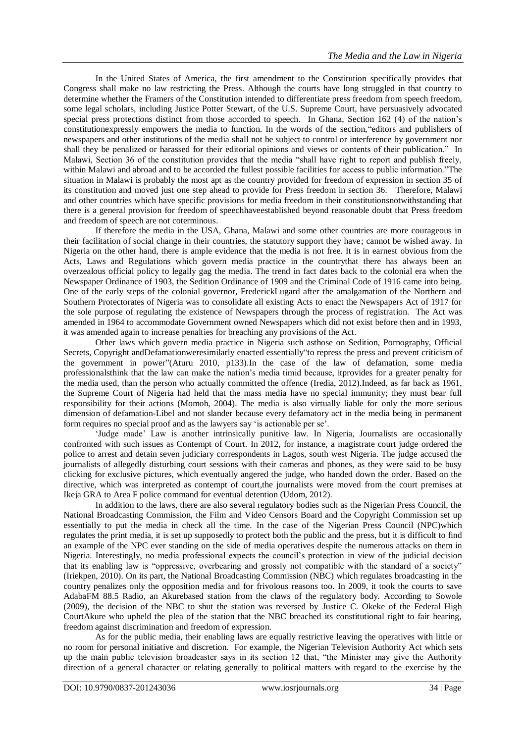In the United States of America, the first amendment to the Constitution specifically provides that Congress shall make no law restricting the Press. Although the courts have long struggled in that country to determine whether the Framers of the Constitution intended to differentiate press freedom from speech freedom, some legal scholars, including Justice [Potter Stewart,](http://legal-dictionary.thefreedictionary.com/Stewart%2c+Potter) of the U.S. Supreme Court, have persuasively advocated special press protections distinct from those accorded to speech. In Ghana, Section 162 (4) of the nation's constitutionexpressly empowers the media to function. In the words of the section, "editors and publishers of newspapers and other institutions of the media shall not be subject to control or interference by government nor shall they be penalized or harassed for their editorial opinions and views or contents of their publication." In Malawi, Section 36 of the constitution provides that the media "shall have right to report and publish freely, within Malawi and abroad and to be accorded the fullest possible facilities for access to public information."The situation in Malawi is probably the most apt as the country provided for freedom of expression in section 35 of its constitution and moved just one step ahead to provide for Press freedom in section 36. Therefore, Malawi and other countries which have specific provisions for media freedom in their constitutionsnotwithstanding that there is a general provision for freedom of speechhaveestablished beyond reasonable doubt that Press freedom and freedom of speech are not coterminous.

If therefore the media in the USA, Ghana, Malawi and some other countries are more courageous in their facilitation of social change in their countries, the statutory support they have; cannot be wished away. In Nigeria on the other hand, there is ample evidence that the media is not free. It is in earnest obvious from the Acts, Laws and Regulations which govern media practice in the countrythat there has always been an overzealous official policy to legally gag the media. The trend in fact dates back to the colonial era when the Newspaper Ordinance of 1903, the Sedition Ordinance of 1909 and the Criminal Code of 1916 came into being. One of the early steps of the colonial governor, FrederickLugard after the amalgamation of the Northern and Southern Protectorates of Nigeria was to consolidate all existing Acts to enact the Newspapers Act of 1917 for the sole purpose of regulating the existence of Newspapers through the process of registration. The Act was amended in 1964 to accommodate Government owned Newspapers which did not exist before then and in 1993, it was amended again to increase penalties for breaching any provisions of the Act.

Other laws which govern media practice in Nigeria such asthose on Sedition, Pornography, Official Secrets, Copyright andDefamationweresimilarly enacted essentially to repress the press and prevent criticism of the government in power"(Aturu 2010, p133).In the case of the law of defamation, some media professionalsthink that the law can make the nation's media timid because, itprovides for a greater penalty for the media used, than the person who actually committed the offence (Iredia, 2012).Indeed, as far back as 1961, the Supreme Court of Nigeria had held that the mass media have no special immunity; they must bear full responsibility for their actions (Momoh, 2004). The media is also virtually liable for only the more serious dimension of defamation-Libel and not slander because every defamatory act in the media being in permanent form requires no special proof and as the lawyers say ‗is actionable per se'.

‗Judge made' Law is another intrinsically punitive law. In Nigeria, Journalists are occasionally confronted with such issues as Contempt of Court. In 2012, for instance, a magistrate court judge ordered the police to arrest and detain seven judiciary correspondents in Lagos, south west Nigeria. The judge accused the journalists of allegedly disturbing court sessions with their cameras and phones, as they were said to be busy clicking for exclusive pictures, which eventually angered the judge, who handed down the order. Based on the directive, which was interpreted as contempt of court,the journalists were moved from the court premises at Ikeja GRA to Area F police command for eventual detention (Udom, 2012).

In addition to the laws, there are also several regulatory bodies such as the Nigerian Press Council, the National Broadcasting Commission, the Film and Video Censors Board and the Copyright Commission set up essentially to put the media in check all the time. In the case of the Nigerian Press Council (NPC)which regulates the print media, it is set up supposedly to protect both the public and the press, but it is difficult to find an example of the NPC ever standing on the side of media operatives despite the numerous attacks on them in Nigeria. Interestingly, no media professional expects the council's protection in view of the judicial decision that its enabling law is "oppressive, overbearing and grossly not compatible with the standard of a society" (Iriekpen, 2010). On its part, the National Broadcasting Commission (NBC) which regulates broadcasting in the country penalizes only the opposition media and for frivolous reasons too. In 2009, it took the courts to save AdabaFM 88.5 Radio, an Akurebased station from the claws of the regulatory body. According to Sowole (2009), the decision of the NBC to shut the station was reversed by Justice C. Okeke of the Federal High CourtAkure who upheld the plea of the station that the NBC breached its constitutional right to fair hearing, freedom against discrimination and freedom of expression.

As for the public media, their enabling laws are equally restrictive leaving the operatives with little or no room for personal initiative and discretion. For example, the Nigerian Television Authority Act which sets up the main public television broadcaster says in its section 12 that, "the Minister may give the Authority direction of a general character or relating generally to political matters with regard to the exercise by the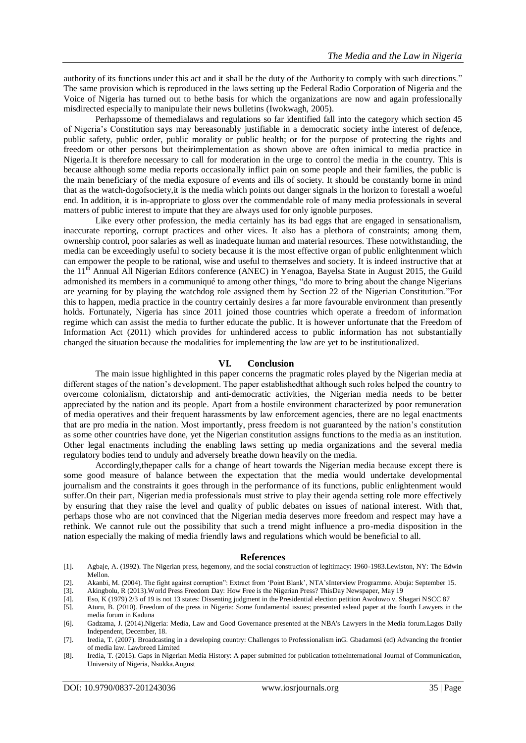authority of its functions under this act and it shall be the duty of the Authority to comply with such directions." The same provision which is reproduced in the laws setting up the Federal Radio Corporation of Nigeria and the Voice of Nigeria has turned out to bethe basis for which the organizations are now and again professionally misdirected especially to manipulate their news bulletins (Iwokwagh, 2005).

Perhapssome of themedialaws and regulations so far identified fall into the category which section 45 of Nigeria's Constitution says may bereasonably justifiable in a democratic society inthe interest of defence, public safety, public order, public morality or public health; or for the purpose of protecting the rights and freedom or other persons but theirimplementation as shown above are often inimical to media practice in Nigeria.It is therefore necessary to call for moderation in the urge to control the media in the country. This is because although some media reports occasionally inflict pain on some people and their families, the public is the main beneficiary of the media exposure of events and ills of society. It should be constantly borne in mind that as the watch-dogofsociety,it is the media which points out danger signals in the horizon to forestall a woeful end. In addition, it is in-appropriate to gloss over the commendable role of many media professionals in several matters of public interest to impute that they are always used for only ignoble purposes.

Like every other profession, the media certainly has its bad eggs that are engaged in sensationalism, inaccurate reporting, corrupt practices and other vices. It also has a plethora of constraints; among them, ownership control, poor salaries as well as inadequate human and material resources. These notwithstanding, the media can be exceedingly useful to society because it is the most effective organ of public enlightenment which can empower the people to be rational, wise and useful to themselves and society. It is indeed instructive that at the 11<sup>th</sup> Annual All Nigerian Editors conference (ANEC) in Yenagoa, Bayelsa State in August 2015, the Guild admonished its members in a communiqué to among other things, "do more to bring about the change Nigerians are yearning for by playing the watchdog role assigned them by Section 22 of the Nigerian Constitution. "For this to happen, media practice in the country certainly desires a far more favourable environment than presently holds. Fortunately, Nigeria has since 2011 joined those countries which operate a freedom of information regime which can assist the media to further educate the public. It is however unfortunate that the Freedom of Information Act (2011) which provides for unhindered access to public information has not substantially changed the situation because the modalities for implementing the law are yet to be institutionalized.

#### **VI. Conclusion**

The main issue highlighted in this paper concerns the pragmatic roles played by the Nigerian media at different stages of the nation's development. The paper establishedthat although such roles helped the country to overcome colonialism, dictatorship and anti-democratic activities, the Nigerian media needs to be better appreciated by the nation and its people. Apart from a hostile environment characterized by poor remuneration of media operatives and their frequent harassments by law enforcement agencies, there are no legal enactments that are pro media in the nation. Most importantly, press freedom is not guaranteed by the nation's constitution as some other countries have done, yet the Nigerian constitution assigns functions to the media as an institution. Other legal enactments including the enabling laws setting up media organizations and the several media regulatory bodies tend to unduly and adversely breathe down heavily on the media.

Accordingly,thepaper calls for a change of heart towards the Nigerian media because except there is some good measure of balance between the expectation that the media would undertake developmental journalism and the constraints it goes through in the performance of its functions, public enlightenment would suffer.On their part, Nigerian media professionals must strive to play their agenda setting role more effectively by ensuring that they raise the level and quality of public debates on issues of national interest. With that, perhaps those who are not convinced that the Nigerian media deserves more freedom and respect may have a rethink. We cannot rule out the possibility that such a trend might influence a pro-media disposition in the nation especially the making of media friendly laws and regulations which would be beneficial to all.

#### **References**

- [1]. Agbaje, A. (1992). The Nigerian press, hegemony, and the social construction of legitimacy: 1960-1983.Lewiston, NY: The Edwin Mellon.
- [2]. Akanbi, M. (2004). The fight against corruption": Extract from 'Point Blank', NTA'sInterview Programme. Abuja: September 15.
- [3]. Akingbolu, R (2013).World Press Freedom Day: How Free is the Nigerian Press? ThisDay Newspaper, May 19
- [4]. Eso, K (1979) 2/3 of 19 is not 13 states: Dissenting judgment in the Presidential election petition Awolowo v. Shagari NSCC 87
- [5]. Aturu, B. (2010). Freedom of the press in Nigeria: Some fundamental issues; presented aslead paper at the fourth Lawyers in the media forum in Kaduna

- [7]. Iredia, T. (2007). Broadcasting in a developing country: Challenges to Professionalism inG. Gbadamosi (ed) Advancing the frontier of media law. Lawbreed Limited
- [8]. Iredia, T. (2015). Gaps in Nigerian Media History: A paper submitted for publication totheInternational Journal of Communication, University of Nigeria, Nsukka.August

<sup>[6].</sup> Gadzama, J. (2014).Nigeria: Media, Law and Good Governance presented at the NBA's Lawyers in the Media forum.Lagos Daily Independent, December, 18.